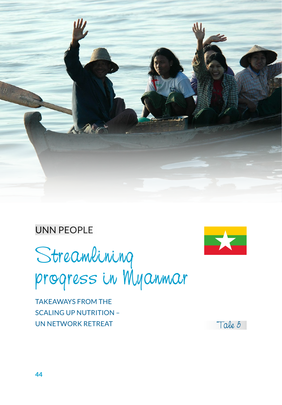

## UNN PEOPLE

**SKE** 

Streamlining progress in Myanmar

TAKEAWAYS FROM THE SCALING UP NUTRITION – UN NETWORK RETREAT Tale  $5$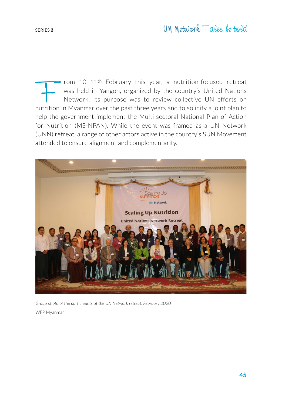From 10–11<sup>th</sup> February this year, a nutrition-focused retreat was held in Yangon, organized by the country's United Nations Network. Its purpose was to review collective UN efforts on nutrition in Myanmar over the past th was held in Yangon, organized by the country's United Nations Network. Its purpose was to review collective UN efforts on help the government implement the Multi-sectoral National Plan of Action for Nutrition (MS-NPAN). While the event was framed as a UN Network (UNN) retreat, a range of other actors active in the country's SUN Movement attended to ensure alignment and complementarity.



*Group photo of the participants at the UN Network retreat, February 2020* WFP Myanmar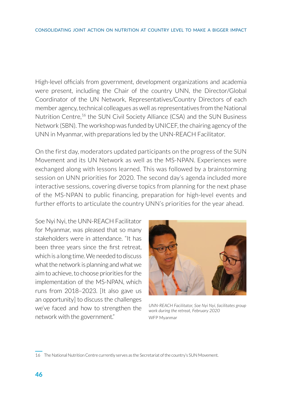High-level officials from government, development organizations and academia were present, including the Chair of the country UNN, the Director/Global Coordinator of the UN Network, Representatives/Country Directors of each member agency, technical colleagues as well as representatives from the National Nutrition Centre,<sup>16</sup> the SUN Civil Society Alliance (CSA) and the SUN Business Network (SBN). The workshop was funded by UNICEF, the chairing agency of the UNN in Myanmar, with preparations led by the UNN-REACH Facilitator.

On the first day, moderators updated participants on the progress of the SUN Movement and its UN Network as well as the MS-NPAN. Experiences were exchanged along with lessons learned. This was followed by a brainstorming session on UNN priorities for 2020. The second day's agenda included more interactive sessions, covering diverse topics from planning for the next phase of the MS-NPAN to public financing, preparation for high-level events and further efforts to articulate the country UNN's priorities for the year ahead.

Soe Nyi Nyi, the UNN-REACH Facilitator for Myanmar, was pleased that so many stakeholders were in attendance. "It has been three years since the first retreat, which is a long time. We needed to discuss what the network is planning and what we aim to achieve, to choose priorities for the implementation of the MS-NPAN, which runs from 2018–2023. [It also gave us an opportunity] to discuss the challenges we've faced and how to strengthen the network with the government."



*UNN-REACH Facilitator, Soe Nyi Nyi, facilitates group work during the retreat, February 2020* WFP Myanmar

16 The National Nutrition Centre currently serves as the Secretariat of the country's SUN Movement.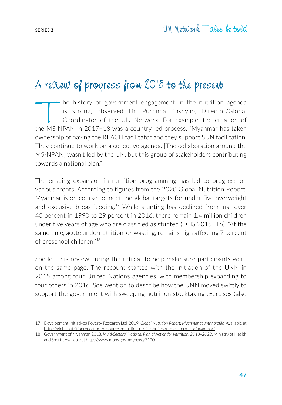## A review of progress from 2015 to the present

The history of government engagement in the nutrition agenda<br>is strong, observed Dr. Purnima Kashyap, Director/Global<br>Coordinator of the UN Network. For example, the creation of<br>the MS-NPAN in 2017-18 was a country-led pro is strong, observed Dr. Purnima Kashyap, Director/Global Coordinator of the UN Network. For example, the creation of the MS-NPAN in 2017−18 was a country-led process. "Myanmar has taken ownership of having the REACH facilitator and they support SUN facilitation. They continue to work on a collective agenda. [The collaboration around the MS-NPAN] wasn't led by the UN, but this group of stakeholders contributing towards a national plan."

The ensuing expansion in nutrition programming has led to progress on various fronts. According to figures from the 2020 Global Nutrition Report, Myanmar is on course to meet the global targets for under-five overweight and exclusive breastfeeding.<sup>17</sup> While stunting has declined from just over 40 percent in 1990 to 29 percent in 2016, there remain 1.4 million children under five years of age who are classified as stunted (DHS 2015−16). "At the same time, acute undernutrition, or wasting, remains high affecting 7 percent of preschool children."18

Soe led this review during the retreat to help make sure participants were on the same page. The recount started with the initiation of the UNN in 2015 among four United Nations agencies, with membership expanding to four others in 2016. Soe went on to describe how the UNN moved swiftly to support the government with sweeping nutrition stocktaking exercises (also

<sup>17</sup> Development Initiatives Poverty Research Ltd. 2019. *Global Nutrition Report; Myanmar country profile.* Available at https://globalnutritionreport.org/resources/nutrition-profiles/asia/south-eastern-asia/myanmar/.

<sup>18</sup> Government of Myanmar. 2018. *Multi-Sectoral National Plan of Action for Nutrition, 2018–2022*. Ministry of Health and Sports. Available at https://www.mohs.gov.mm/page/7190.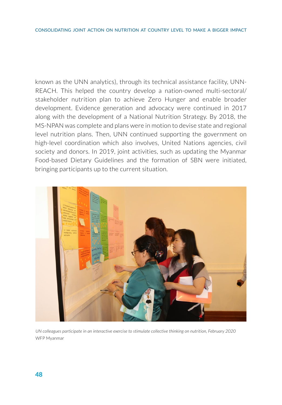known as the UNN analytics), through its technical assistance facility, UNN-REACH. This helped the country develop a nation-owned multi-sectoral/ stakeholder nutrition plan to achieve Zero Hunger and enable broader development. Evidence generation and advocacy were continued in 2017 along with the development of a National Nutrition Strategy. By 2018, the MS-NPAN was complete and plans were in motion to devise state and regional level nutrition plans. Then, UNN continued supporting the government on high-level coordination which also involves, United Nations agencies, civil society and donors. In 2019, joint activities, such as updating the Myanmar Food-based Dietary Guidelines and the formation of SBN were initiated, bringing participants up to the current situation.



*UN colleagues participate in an interactive exercise to stimulate collective thinking on nutrition, February 2020* WFP Myanmar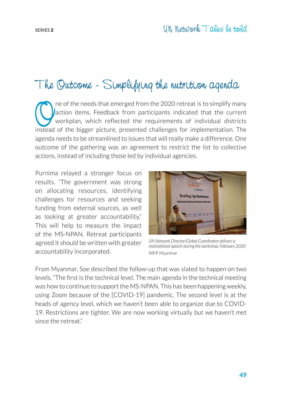## The Outcome - Simplifying the nutrition agenda

The of the needs that emerged from the 2020 retreat is to simplify many<br>action items. Feedback from participants indicated that the current<br>workplan, which reflected the requirements of individual districts<br>instead of the action items. Feedback from participants indicated that the current workplan, which reflected the requirements of individual districts instead of the bigger picture, presented challenges for implementation. The agenda needs to be streamlined to issues that will really make a difference. One outcome of the gathering was an agreement to restrict the list to collective actions, instead of including those led by individual agencies.

Purnima relayed a stronger focus on results. "The government was strong on allocating resources, identifying challenges for resources and seeking funding from external sources, as well as looking at greater accountability." This will help to measure the impact of the MS-NPAN. Retreat participants agreed it should be written with greater accountability incorporated.



*UN Network Director/Global Coordinator delivers a motivational speech during the workshop, February 2020* WFP Myanmar

From Myanmar, Soe described the follow-up that was slated to happen on two levels. "The first is the technical level. The main agenda in the technical meeting was how to continue to support the MS-NPAN. This has been happening weekly, using Zoom because of the [COVID-19] pandemic. The second level is at the heads of agency level, which we haven't been able to organize due to COVID-19. Restrictions are tighter. We are now working virtually but we haven't met since the retreat."